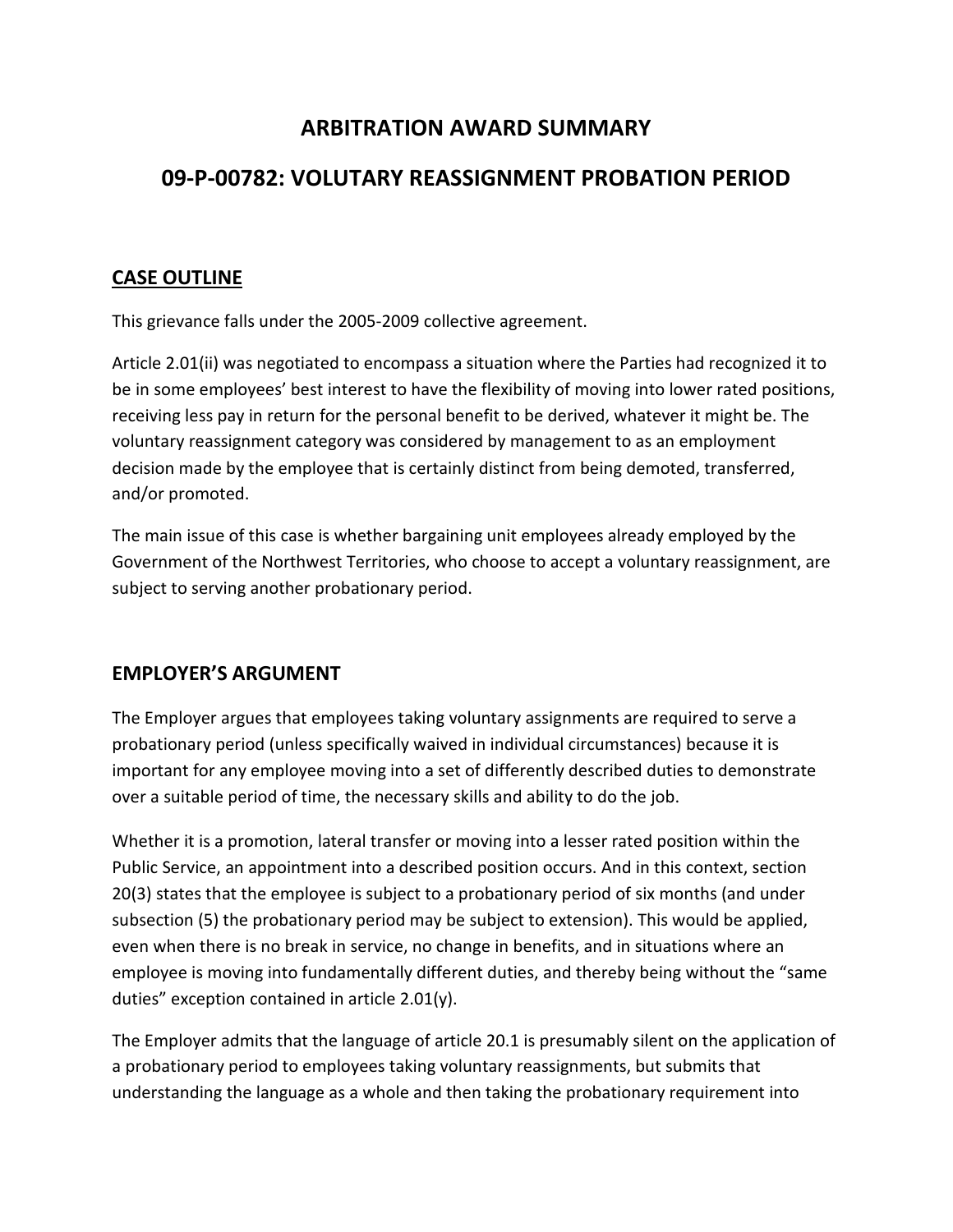# **ARBITRATION AWARD SUMMARY**

# **09-P-00782: VOLUTARY REASSIGNMENT PROBATION PERIOD**

#### **CASE OUTLINE**

This grievance falls under the 2005-2009 collective agreement.

Article 2.01(ii) was negotiated to encompass a situation where the Parties had recognized it to be in some employees' best interest to have the flexibility of moving into lower rated positions, receiving less pay in return for the personal benefit to be derived, whatever it might be. The voluntary reassignment category was considered by management to as an employment decision made by the employee that is certainly distinct from being demoted, transferred, and/or promoted.

The main issue of this case is whether bargaining unit employees already employed by the Government of the Northwest Territories, who choose to accept a voluntary reassignment, are subject to serving another probationary period.

#### **EMPLOYER'S ARGUMENT**

The Employer argues that employees taking voluntary assignments are required to serve a probationary period (unless specifically waived in individual circumstances) because it is important for any employee moving into a set of differently described duties to demonstrate over a suitable period of time, the necessary skills and ability to do the job.

Whether it is a promotion, lateral transfer or moving into a lesser rated position within the Public Service, an appointment into a described position occurs. And in this context, section 20(3) states that the employee is subject to a probationary period of six months (and under subsection (5) the probationary period may be subject to extension). This would be applied, even when there is no break in service, no change in benefits, and in situations where an employee is moving into fundamentally different duties, and thereby being without the "same duties" exception contained in article 2.01(y).

The Employer admits that the language of article 20.1 is presumably silent on the application of a probationary period to employees taking voluntary reassignments, but submits that understanding the language as a whole and then taking the probationary requirement into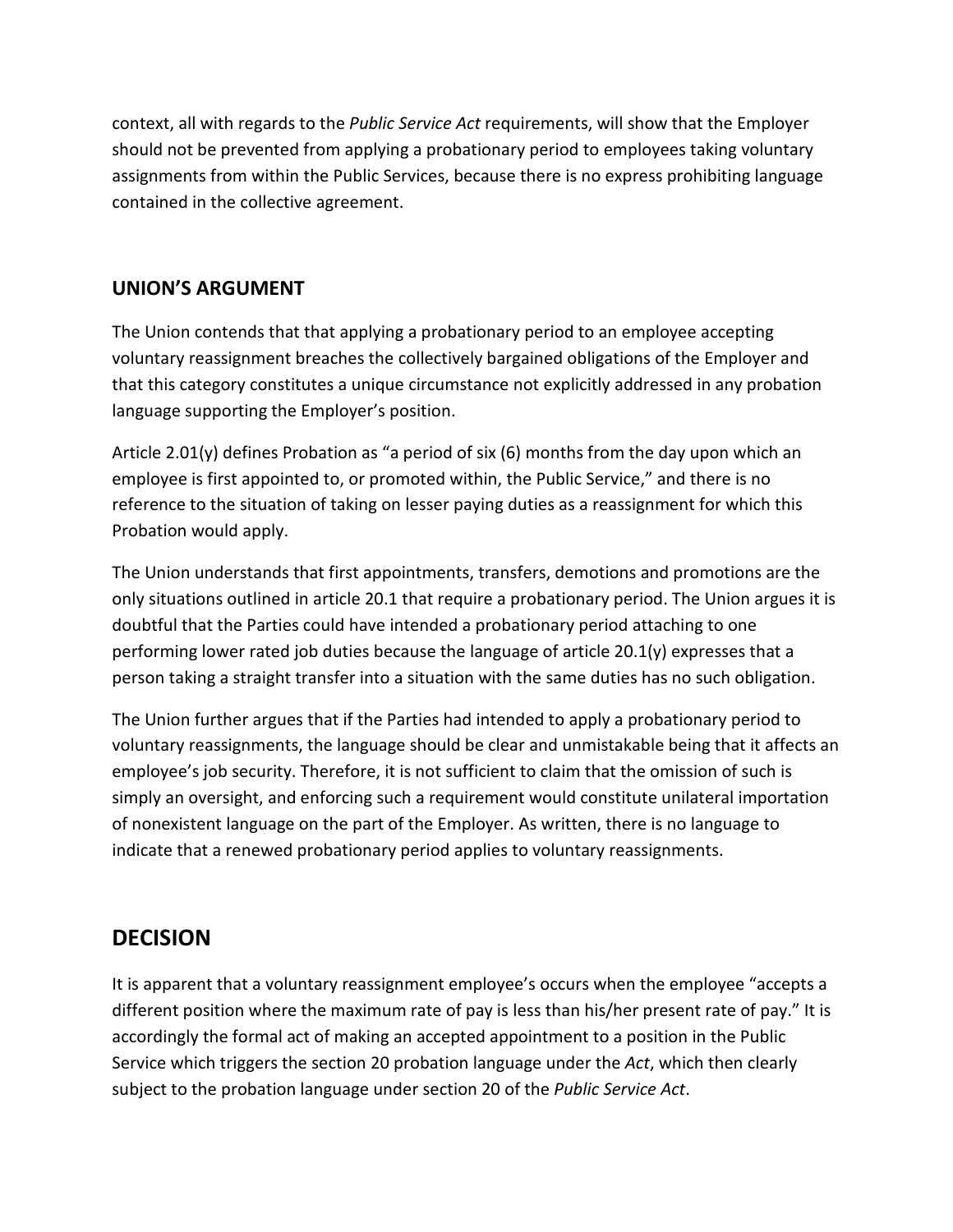context, all with regards to the *Public Service Act* requirements, will show that the Employer should not be prevented from applying a probationary period to employees taking voluntary assignments from within the Public Services, because there is no express prohibiting language contained in the collective agreement.

### **UNION'S ARGUMENT**

The Union contends that that applying a probationary period to an employee accepting voluntary reassignment breaches the collectively bargained obligations of the Employer and that this category constitutes a unique circumstance not explicitly addressed in any probation language supporting the Employer's position.

Article 2.01(y) defines Probation as "a period of six (6) months from the day upon which an employee is first appointed to, or promoted within, the Public Service," and there is no reference to the situation of taking on lesser paying duties as a reassignment for which this Probation would apply.

The Union understands that first appointments, transfers, demotions and promotions are the only situations outlined in article 20.1 that require a probationary period. The Union argues it is doubtful that the Parties could have intended a probationary period attaching to one performing lower rated job duties because the language of article 20.1(y) expresses that a person taking a straight transfer into a situation with the same duties has no such obligation.

The Union further argues that if the Parties had intended to apply a probationary period to voluntary reassignments, the language should be clear and unmistakable being that it affects an employee's job security. Therefore, it is not sufficient to claim that the omission of such is simply an oversight, and enforcing such a requirement would constitute unilateral importation of nonexistent language on the part of the Employer. As written, there is no language to indicate that a renewed probationary period applies to voluntary reassignments.

# **DECISION**

It is apparent that a voluntary reassignment employee's occurs when the employee "accepts a different position where the maximum rate of pay is less than his/her present rate of pay." It is accordingly the formal act of making an accepted appointment to a position in the Public Service which triggers the section 20 probation language under the *Act*, which then clearly subject to the probation language under section 20 of the *Public Service Act*.